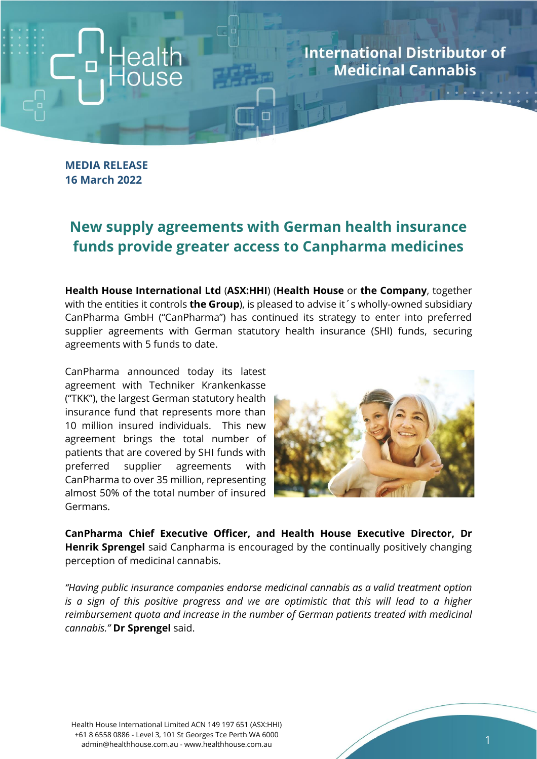**International Distributor of Medicinal Cannabis** 

**MEDIA RELEASE 16 March 2022**

## **New supply agreements with German health insurance funds provide greater access to Canpharma medicines**

**Health House International Ltd** (**ASX:HHI**) (**Health House** or **the Company**, together with the entities it controls **the Group**), is pleased to advise it´s wholly-owned subsidiary CanPharma GmbH ("CanPharma") has continued its strategy to enter into preferred supplier agreements with German statutory health insurance (SHI) funds, securing agreements with 5 funds to date.

CanPharma announced today its latest agreement with Techniker Krankenkasse ("TKK"), the largest German statutory health insurance fund that represents more than 10 million insured individuals. This new agreement brings the total number of patients that are covered by SHI funds with preferred supplier agreements with CanPharma to over 35 million, representing almost 50% of the total number of insured Germans.



**CanPharma Chief Executive Officer, and Health House Executive Director, Dr Henrik Sprengel** said Canpharma is encouraged by the continually positively changing perception of medicinal cannabis.

*"Having public insurance companies endorse medicinal cannabis as a valid treatment option is a sign of this positive progress and we are optimistic that this will lead to a higher reimbursement quota and increase in the number of German patients treated with medicinal cannabis."* **Dr Sprengel** said.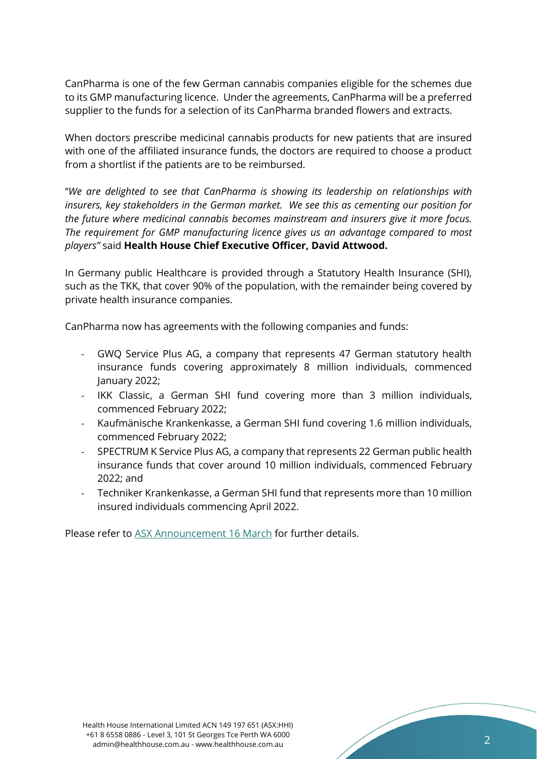CanPharma is one of the few German cannabis companies eligible for the schemes due to its GMP manufacturing licence. Under the agreements, CanPharma will be a preferred supplier to the funds for a selection of its CanPharma branded flowers and extracts.

When doctors prescribe medicinal cannabis products for new patients that are insured with one of the affiliated insurance funds, the doctors are required to choose a product from a shortlist if the patients are to be reimbursed.

"*We are delighted to see that CanPharma is showing its leadership on relationships with insurers, key stakeholders in the German market. We see this as cementing our position for the future where medicinal cannabis becomes mainstream and insurers give it more focus. The requirement for GMP manufacturing licence gives us an advantage compared to most players"* said **Health House Chief Executive Officer, David Attwood.**

In Germany public Healthcare is provided through a Statutory Health Insurance (SHI), such as the TKK, that cover 90% of the population, with the remainder being covered by private health insurance companies.

CanPharma now has agreements with the following companies and funds:

- GWQ Service Plus AG, a company that represents 47 German statutory health insurance funds covering approximately 8 million individuals, commenced January 2022;
- IKK Classic, a German SHI fund covering more than 3 million individuals, commenced February 2022;
- Kaufmänische Krankenkasse, a German SHI fund covering 1.6 million individuals, commenced February 2022;
- SPECTRUM K Service Plus AG, a company that represents 22 German public health insurance funds that cover around 10 million individuals, commenced February 2022; and
- Techniker Krankenkasse, a German SHI fund that represents more than 10 million insured individuals commencing April 2022.

Please refer to [ASX Announcement 16 March](https://wcsecure.weblink.com.au/pdf/HHI/02499500.pdf) for further details.